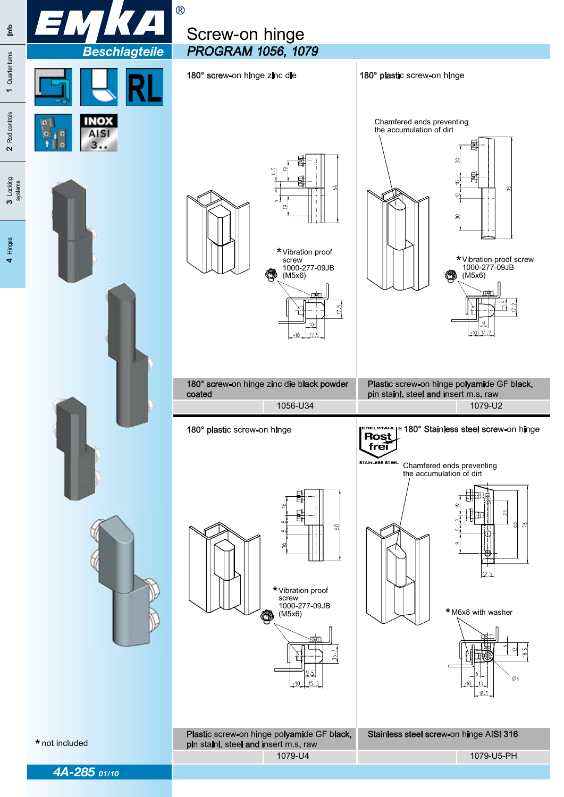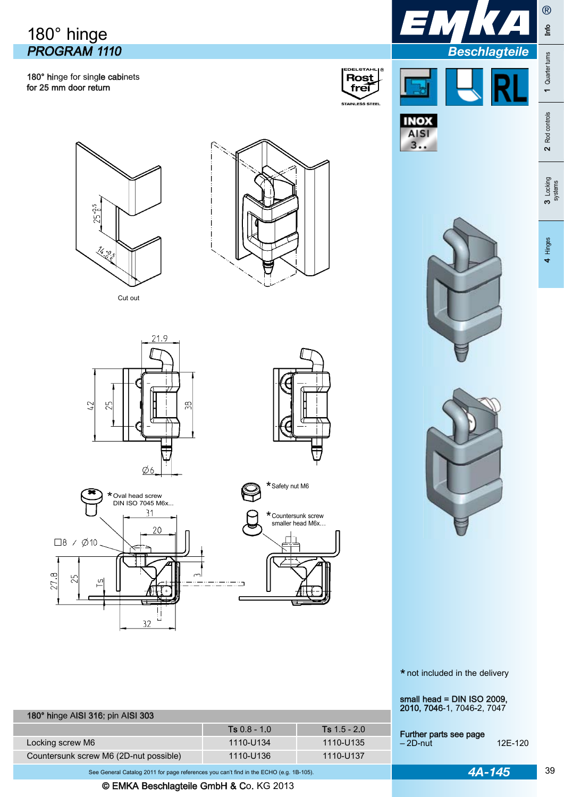## 180° hinge PROGRAM 1110

180° hinge for single cabinets for 25 mm door return





**AIS**  $3...$  **Beschla** 











180° hinge AISI 316; pin AISI 303



Ts 0.8 - 1.0 Ts 1.5 - 2.0





\* not included in the delivery

small head = DIN ISO 2009, 2010, 7046-1, 7046-2, 7047

 Further parts see page - 2D-nut 12E-120

| agteile |  |
|---------|--|
|         |  |
|         |  |

®

e<br>Line

1 Quarter turns

1 Quarter turns

3 Locking<br>systems

See General Catalog 2011 for page references you can't find in the ECHO (e.g. 1B-105). **4A-145** 

Locking screw M6 1110-U135 Countersunk screw M6 (2D-nut possible) 1110-U136 1110-U137